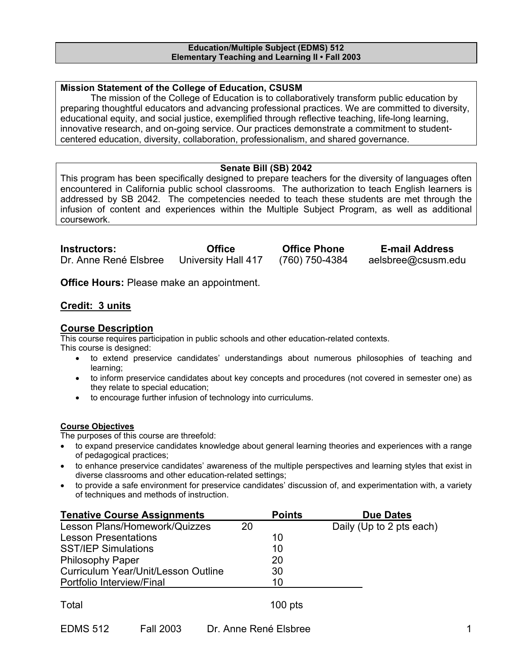#### **Education/Multiple Subject (EDMS) 512 Elementary Teaching and Learning II • Fall 2003**

### **Mission Statement of the College of Education, CSUSM**

 The mission of the College of Education is to collaboratively transform public education by preparing thoughtful educators and advancing professional practices. We are committed to diversity, educational equity, and social justice, exemplified through reflective teaching, life-long learning, innovative research, and on-going service. Our practices demonstrate a commitment to studentcentered education, diversity, collaboration, professionalism, and shared governance.

# **Senate Bill (SB) 2042**

This program has been specifically designed to prepare teachers for the diversity of languages often encountered in California public school classrooms. The authorization to teach English learners is addressed by SB 2042. The competencies needed to teach these students are met through the infusion of content and experiences within the Multiple Subject Program, as well as additional coursework.

**Instructors: Office Office Phone E-mail Address**  Dr. Anne René Elsbree University Hall 417 (760) 750-4384 aelsbree@csusm.edu

**Office Hours:** Please make an appointment.

### **Credit: 3 units**

# **Course Description**

This course requires participation in public schools and other education-related contexts. This course is designed:

- to extend preservice candidates' understandings about numerous philosophies of teaching and learning;
- to inform preservice candidates about key concepts and procedures (not covered in semester one) as they relate to special education;
- to encourage further infusion of technology into curriculums.

#### **Course Objectives**

The purposes of this course are threefold:

- to expand preservice candidates knowledge about general learning theories and experiences with a range of pedagogical practices;
- to enhance preservice candidates' awareness of the multiple perspectives and learning styles that exist in diverse classrooms and other education-related settings;
- to provide a safe environment for preservice candidates' discussion of, and experimentation with, a variety of techniques and methods of instruction.

| <b>Tenative Course Assignments</b>         |    | <b>Points</b> | <b>Due Dates</b>         |
|--------------------------------------------|----|---------------|--------------------------|
| Lesson Plans/Homework/Quizzes              | 20 |               | Daily (Up to 2 pts each) |
| <b>Lesson Presentations</b>                |    | 10            |                          |
| <b>SST/IEP Simulations</b>                 |    | 10            |                          |
| <b>Philosophy Paper</b>                    |    | 20            |                          |
| <b>Curriculum Year/Unit/Lesson Outline</b> |    | 30            |                          |
| Portfolio Interview/Final                  |    | 10            |                          |
|                                            |    |               |                          |

| Total |  |  | $100$ pts |
|-------|--|--|-----------|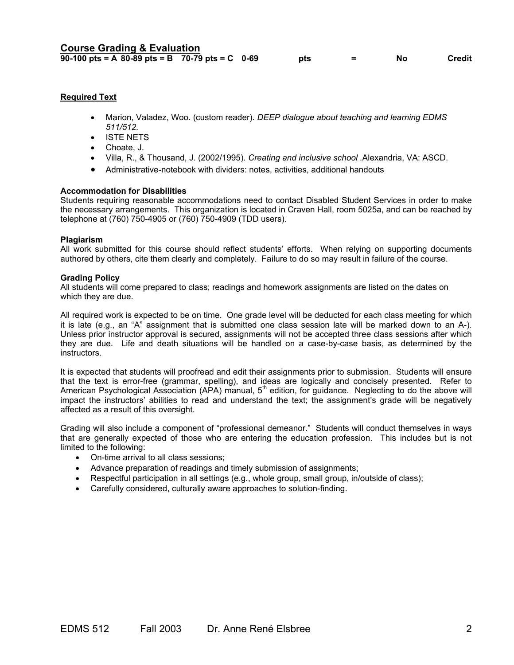### **Required Text**

- Marion, Valadez, Woo. (custom reader). *DEEP dialogue about teaching and learning EDMS 511/512.*
- ISTE NETS
- Choate, J.
- Villa, R., & Thousand, J. (2002/1995). *Creating and inclusive school .*Alexandria, VA: ASCD.
- Administrative-notebook with dividers: notes, activities, additional handouts

#### **Accommodation for Disabilities**

Students requiring reasonable accommodations need to contact Disabled Student Services in order to make the necessary arrangements. This organization is located in Craven Hall, room 5025a, and can be reached by telephone at (760) 750-4905 or (760) 750-4909 (TDD users).

#### **Plagiarism**

All work submitted for this course should reflect students' efforts. When relying on supporting documents authored by others, cite them clearly and completely. Failure to do so may result in failure of the course.

#### **Grading Policy**

All students will come prepared to class; readings and homework assignments are listed on the dates on which they are due.

All required work is expected to be on time. One grade level will be deducted for each class meeting for which it is late (e.g., an "A" assignment that is submitted one class session late will be marked down to an A-). Unless prior instructor approval is secured, assignments will not be accepted three class sessions after which they are due. Life and death situations will be handled on a case-by-case basis, as determined by the instructors.

It is expected that students will proofread and edit their assignments prior to submission. Students will ensure that the text is error-free (grammar, spelling), and ideas are logically and concisely presented. Refer to American Psychological Association (APA) manual, 5<sup>th</sup> edition, for guidance. Neglecting to do the above will impact the instructors' abilities to read and understand the text; the assignment's grade will be negatively affected as a result of this oversight.

Grading will also include a component of "professional demeanor." Students will conduct themselves in ways that are generally expected of those who are entering the education profession. This includes but is not limited to the following:

- On-time arrival to all class sessions;
- Advance preparation of readings and timely submission of assignments;
- Respectful participation in all settings (e.g., whole group, small group, in/outside of class);
- Carefully considered, culturally aware approaches to solution-finding.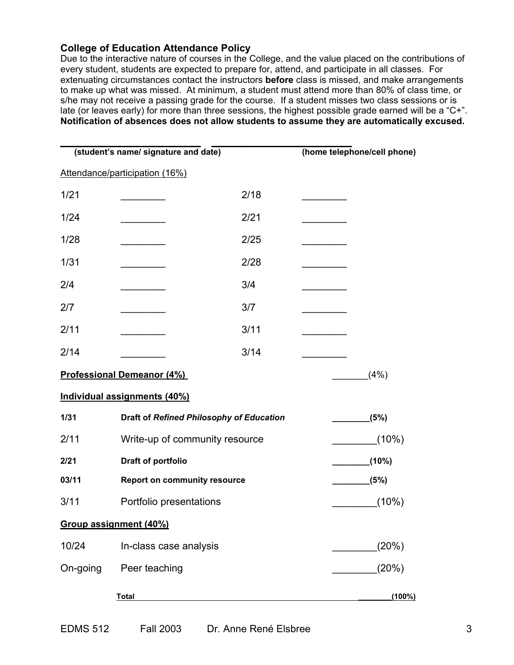# **College of Education Attendance Policy**

Due to the interactive nature of courses in the College, and the value placed on the contributions of every student, students are expected to prepare for, attend, and participate in all classes. For extenuating circumstances contact the instructors **before** class is missed, and make arrangements to make up what was missed. At minimum, a student must attend more than 80% of class time, or s/he may not receive a passing grade for the course. If a student misses two class sessions or is late (or leaves early) for more than three sessions, the highest possible grade earned will be a "C+". **Notification of absences does not allow students to assume they are automatically excused.** 

| (student's name/ signature and date) |                                          |      | (home telephone/cell phone) |  |  |
|--------------------------------------|------------------------------------------|------|-----------------------------|--|--|
|                                      | Attendance/participation (16%)           |      |                             |  |  |
| 1/21                                 |                                          | 2/18 |                             |  |  |
| 1/24                                 |                                          | 2/21 |                             |  |  |
| 1/28                                 |                                          | 2/25 |                             |  |  |
| 1/31                                 |                                          | 2/28 |                             |  |  |
| 2/4                                  |                                          | 3/4  |                             |  |  |
| 2/7                                  |                                          | 3/7  |                             |  |  |
| 2/11                                 |                                          | 3/11 |                             |  |  |
| 2/14                                 |                                          | 3/14 |                             |  |  |
|                                      | <b>Professional Demeanor (4%)</b>        |      | (4%)                        |  |  |
|                                      | Individual assignments (40%)             |      |                             |  |  |
| 1/31                                 | Draft of Refined Philosophy of Education |      | (5%)                        |  |  |
| 2/11                                 | Write-up of community resource           |      | $(10\%)$                    |  |  |
| 2/21                                 | Draft of portfolio                       |      | (10%)                       |  |  |
| 03/11                                | <b>Report on community resource</b>      |      | (5%)                        |  |  |
| 3/11                                 | Portfolio presentations                  |      | $(10\%)$                    |  |  |
|                                      | Group assignment (40%)                   |      |                             |  |  |
| 10/24                                | In-class case analysis                   |      | (20%)                       |  |  |
| On-going                             | Peer teaching                            |      | (20%)                       |  |  |
|                                      | <b>Total</b>                             |      | $(100\%)$                   |  |  |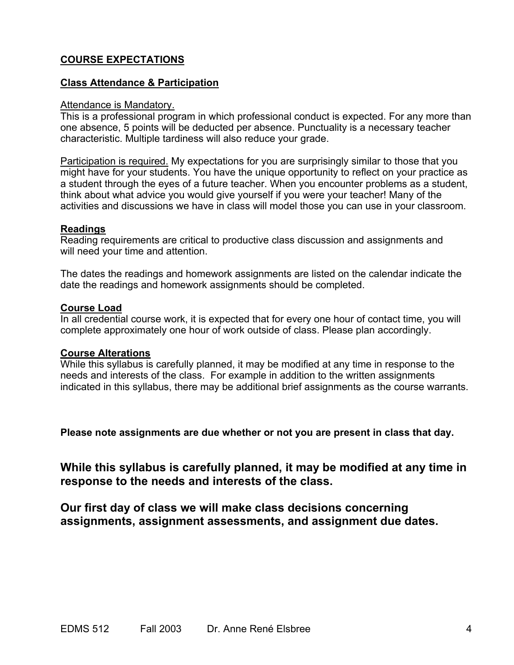# **COURSE EXPECTATIONS**

# **Class Attendance & Participation**

## Attendance is Mandatory.

This is a professional program in which professional conduct is expected. For any more than one absence, 5 points will be deducted per absence. Punctuality is a necessary teacher characteristic. Multiple tardiness will also reduce your grade.

Participation is required. My expectations for you are surprisingly similar to those that you might have for your students. You have the unique opportunity to reflect on your practice as a student through the eyes of a future teacher. When you encounter problems as a student, think about what advice you would give yourself if you were your teacher! Many of the activities and discussions we have in class will model those you can use in your classroom.

# **Readings**

Reading requirements are critical to productive class discussion and assignments and will need your time and attention.

The dates the readings and homework assignments are listed on the calendar indicate the date the readings and homework assignments should be completed.

# **Course Load**

In all credential course work, it is expected that for every one hour of contact time, you will complete approximately one hour of work outside of class. Please plan accordingly.

# **Course Alterations**

While this syllabus is carefully planned, it may be modified at any time in response to the needs and interests of the class. For example in addition to the written assignments indicated in this syllabus, there may be additional brief assignments as the course warrants.

**Please note assignments are due whether or not you are present in class that day.** 

**While this syllabus is carefully planned, it may be modified at any time in response to the needs and interests of the class.** 

**Our first day of class we will make class decisions concerning assignments, assignment assessments, and assignment due dates.**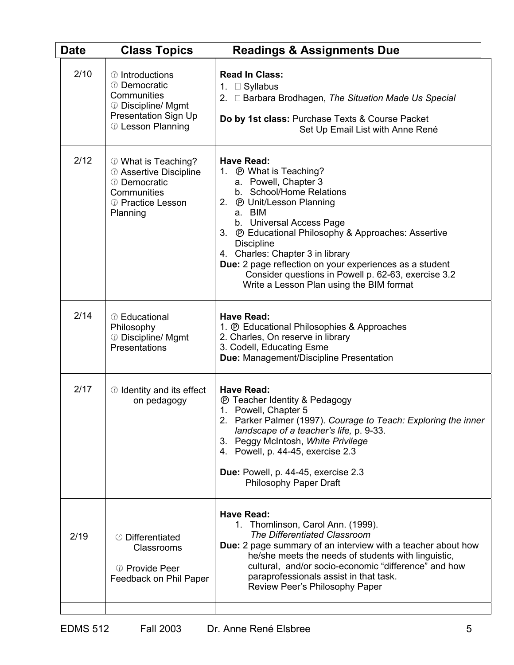| <b>Date</b> | <b>Class Topics</b>                                                                                               | <b>Readings &amp; Assignments Due</b>                                                                                                                                                                                                                                                                                                                                                                                                                                          |
|-------------|-------------------------------------------------------------------------------------------------------------------|--------------------------------------------------------------------------------------------------------------------------------------------------------------------------------------------------------------------------------------------------------------------------------------------------------------------------------------------------------------------------------------------------------------------------------------------------------------------------------|
| 2/10        | © Introductions<br>© Democratic<br>Communities<br>© Discipline/ Mgmt<br>Presentation Sign Up<br>© Lesson Planning | <b>Read In Class:</b><br>1. $\Box$ Syllabus<br>2. Barbara Brodhagen, The Situation Made Us Special<br>Do by 1st class: Purchase Texts & Course Packet<br>Set Up Email List with Anne René                                                                                                                                                                                                                                                                                      |
| 2/12        | © What is Teaching?<br>@ Assertive Discipline<br>© Democratic<br>Communities<br>© Practice Lesson<br>Planning     | <b>Have Read:</b><br>1. <b><i>(b)</i></b> What is Teaching?<br>a. Powell, Chapter 3<br>b. School/Home Relations<br>2. ® Unit/Lesson Planning<br>a. BIM<br>b. Universal Access Page<br>3. <b><i>O</i></b> Educational Philosophy & Approaches: Assertive<br><b>Discipline</b><br>4. Charles: Chapter 3 in library<br>Due: 2 page reflection on your experiences as a student<br>Consider questions in Powell p. 62-63, exercise 3.2<br>Write a Lesson Plan using the BIM format |
| 2/14        | © Educational<br>Philosophy<br>© Discipline/ Mgmt<br>Presentations                                                | <b>Have Read:</b><br>1. <b>@ Educational Philosophies &amp; Approaches</b><br>2. Charles, On reserve in library<br>3. Codell, Educating Esme<br>Due: Management/Discipline Presentation                                                                                                                                                                                                                                                                                        |
| 2/17        | © Identity and its effect<br>on pedagogy                                                                          | <b>Have Read:</b><br><b><i>®</i></b> Teacher Identity & Pedagogy<br>1. Powell, Chapter 5<br>2. Parker Palmer (1997). Courage to Teach: Exploring the inner<br>landscape of a teacher's life, p. 9-33.<br>3. Peggy McIntosh, White Privilege<br>4. Powell, p. 44-45, exercise 2.3<br>Due: Powell, p. 44-45, exercise 2.3<br><b>Philosophy Paper Draft</b>                                                                                                                       |
| 2/19        | © Differentiated<br>Classrooms<br>© Provide Peer<br>Feedback on Phil Paper                                        | <b>Have Read:</b><br>1. Thomlinson, Carol Ann. (1999).<br>The Differentiated Classroom<br>Due: 2 page summary of an interview with a teacher about how<br>he/she meets the needs of students with linguistic,<br>cultural, and/or socio-economic "difference" and how<br>paraprofessionals assist in that task.<br>Review Peer's Philosophy Paper                                                                                                                              |
|             |                                                                                                                   |                                                                                                                                                                                                                                                                                                                                                                                                                                                                                |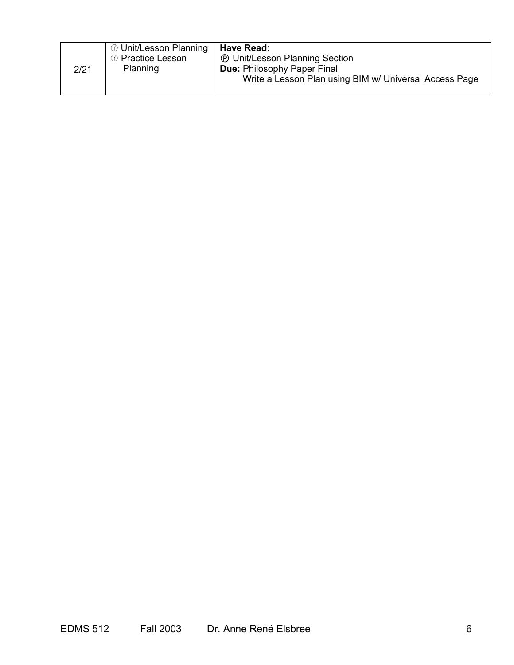|      | <i></i> Unit/Lesson Planning<br>© Practice Lesson | Have Read:<br><b><i>®</i></b> Unit/Lesson Planning Section                                   |
|------|---------------------------------------------------|----------------------------------------------------------------------------------------------|
| 2/21 | Planning                                          | <b>Due: Philosophy Paper Final</b><br>Write a Lesson Plan using BIM w/ Universal Access Page |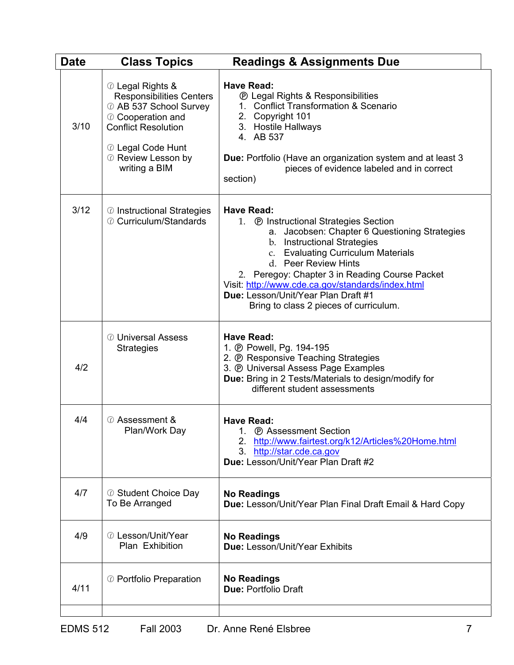| <b>Date</b> | <b>Class Topics</b>                                                                                                                                                                          | <b>Readings &amp; Assignments Due</b>                                                                                                                                                                                                                                                                                                                                                                                    |
|-------------|----------------------------------------------------------------------------------------------------------------------------------------------------------------------------------------------|--------------------------------------------------------------------------------------------------------------------------------------------------------------------------------------------------------------------------------------------------------------------------------------------------------------------------------------------------------------------------------------------------------------------------|
| 3/10        | © Legal Rights &<br><b>Responsibilities Centers</b><br>@ AB 537 School Survey<br>© Cooperation and<br><b>Conflict Resolution</b><br>© Legal Code Hunt<br>© Review Lesson by<br>writing a BIM | <b>Have Read:</b><br><b><i>®</i></b> Legal Rights & Responsibilities<br>1. Conflict Transformation & Scenario<br>2. Copyright 101<br>3. Hostile Hallways<br>4. AB 537<br><b>Due:</b> Portfolio (Have an organization system and at least 3<br>pieces of evidence labeled and in correct<br>section)                                                                                                                      |
| 3/12        | © Instructional Strategies<br>© Curriculum/Standards                                                                                                                                         | <b>Have Read:</b><br>1. <b><i>O</i></b> Instructional Strategies Section<br>a. Jacobsen: Chapter 6 Questioning Strategies<br>b. Instructional Strategies<br><b>Evaluating Curriculum Materials</b><br>C.<br>d. Peer Review Hints<br>2. Peregoy: Chapter 3 in Reading Course Packet<br>Visit: http://www.cde.ca.gov/standards/index.html<br>Due: Lesson/Unit/Year Plan Draft #1<br>Bring to class 2 pieces of curriculum. |
| 4/2         | <b><i>©</i></b> Universal Assess<br><b>Strategies</b>                                                                                                                                        | <b>Have Read:</b><br>1. @ Powell, Pg. 194-195<br>2. <b>@ Responsive Teaching Strategies</b><br>3. @ Universal Assess Page Examples<br>Due: Bring in 2 Tests/Materials to design/modify for<br>different student assessments                                                                                                                                                                                              |
| 4/4         | <b>◎ Assessment &amp;</b><br>Plan/Work Day                                                                                                                                                   | <b>Have Read:</b><br>1. <b>@</b> Assessment Section<br>http://www.fairtest.org/k12/Articles%20Home.html<br>2 <sub>1</sub><br>3.<br>http://star.cde.ca.gov<br>Due: Lesson/Unit/Year Plan Draft #2                                                                                                                                                                                                                         |
| 4/7         | © Student Choice Day<br>To Be Arranged                                                                                                                                                       | <b>No Readings</b><br>Due: Lesson/Unit/Year Plan Final Draft Email & Hard Copy                                                                                                                                                                                                                                                                                                                                           |
| 4/9         | © Lesson/Unit/Year<br>Plan Exhibition                                                                                                                                                        | <b>No Readings</b><br>Due: Lesson/Unit/Year Exhibits                                                                                                                                                                                                                                                                                                                                                                     |
| 4/11        | © Portfolio Preparation                                                                                                                                                                      | <b>No Readings</b><br><b>Due: Portfolio Draft</b>                                                                                                                                                                                                                                                                                                                                                                        |
|             |                                                                                                                                                                                              |                                                                                                                                                                                                                                                                                                                                                                                                                          |